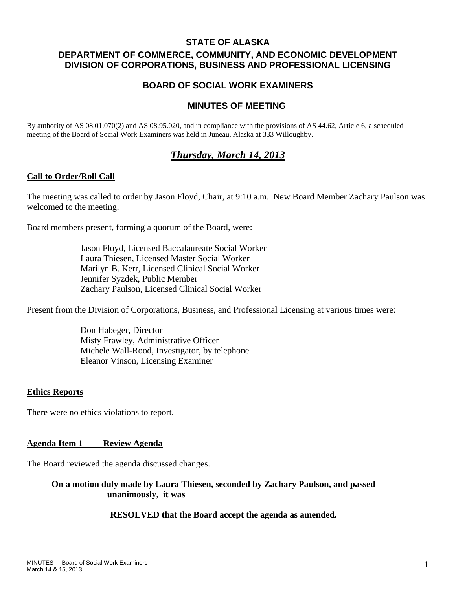### **STATE OF ALASKA**

# **DEPARTMENT OF COMMERCE, COMMUNITY, AND ECONOMIC DEVELOPMENT DIVISION OF CORPORATIONS, BUSINESS AND PROFESSIONAL LICENSING**

# **BOARD OF SOCIAL WORK EXAMINERS**

## **MINUTES OF MEETING**

By authority of AS 08.01.070(2) and AS 08.95.020, and in compliance with the provisions of AS 44.62, Article 6, a scheduled meeting of the Board of Social Work Examiners was held in Juneau, Alaska at 333 Willoughby.

# *Thursday, March 14, 2013*

#### **Call to Order/Roll Call**

The meeting was called to order by Jason Floyd, Chair, at 9:10 a.m. New Board Member Zachary Paulson was welcomed to the meeting.

Board members present, forming a quorum of the Board, were:

 Jason Floyd, Licensed Baccalaureate Social Worker Laura Thiesen, Licensed Master Social Worker Marilyn B. Kerr, Licensed Clinical Social Worker Jennifer Syzdek, Public Member Zachary Paulson, Licensed Clinical Social Worker

Present from the Division of Corporations, Business, and Professional Licensing at various times were:

 Don Habeger, Director Misty Frawley, Administrative Officer Michele Wall-Rood, Investigator, by telephone Eleanor Vinson, Licensing Examiner

### **Ethics Reports**

There were no ethics violations to report.

### **Agenda Item 1 Review Agenda**

The Board reviewed the agenda discussed changes.

**On a motion duly made by Laura Thiesen, seconded by Zachary Paulson, and passed unanimously, it was** 

#### **RESOLVED that the Board accept the agenda as amended.**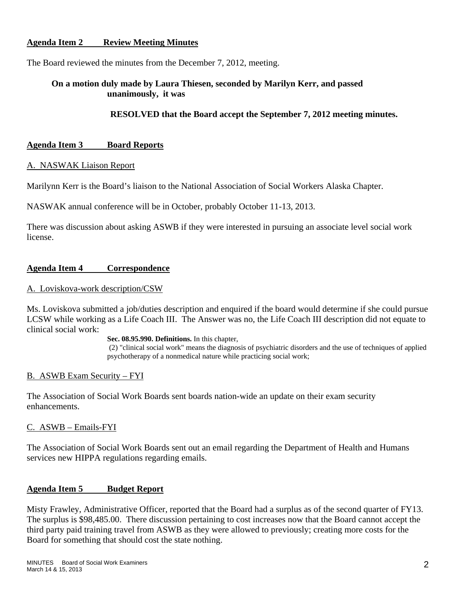### **Agenda Item 2 Review Meeting Minutes**

The Board reviewed the minutes from the December 7, 2012, meeting.

## **On a motion duly made by Laura Thiesen, seconded by Marilyn Kerr, and passed unanimously, it was**

### **RESOLVED that the Board accept the September 7, 2012 meeting minutes.**

### **Agenda Item 3 Board Reports**

#### A. NASWAK Liaison Report

Marilynn Kerr is the Board's liaison to the National Association of Social Workers Alaska Chapter.

NASWAK annual conference will be in October, probably October 11-13, 2013.

There was discussion about asking ASWB if they were interested in pursuing an associate level social work license.

### **Agenda Item 4 Correspondence**

#### A. Loviskova-work description/CSW

Ms. Loviskova submitted a job/duties description and enquired if the board would determine if she could pursue LCSW while working as a Life Coach III. The Answer was no, the Life Coach III description did not equate to clinical social work:

**Sec. 08.95.990. Definitions.** In this chapter,

 (2) "clinical social work" means the diagnosis of psychiatric disorders and the use of techniques of applied psychotherapy of a nonmedical nature while practicing social work;

### B. ASWB Exam Security – FYI

The Association of Social Work Boards sent boards nation-wide an update on their exam security enhancements.

#### C. ASWB – Emails-FYI

The Association of Social Work Boards sent out an email regarding the Department of Health and Humans services new HIPPA regulations regarding emails.

### **Agenda Item 5 Budget Report**

Misty Frawley, Administrative Officer, reported that the Board had a surplus as of the second quarter of FY13. The surplus is \$98,485.00. There discussion pertaining to cost increases now that the Board cannot accept the third party paid training travel from ASWB as they were allowed to previously; creating more costs for the Board for something that should cost the state nothing.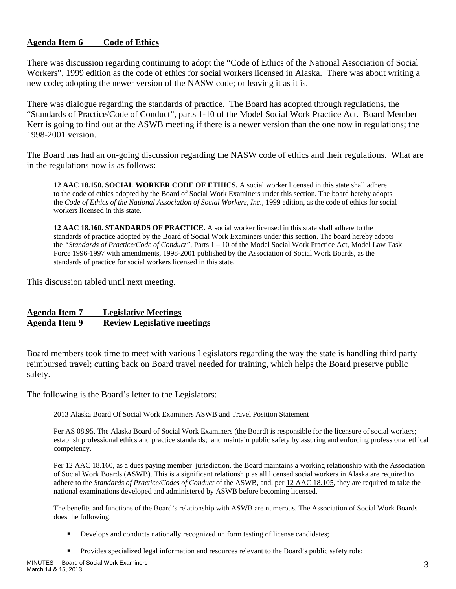### **Agenda Item 6 Code of Ethics**

There was discussion regarding continuing to adopt the "Code of Ethics of the National Association of Social Workers", 1999 edition as the code of ethics for social workers licensed in Alaska. There was about writing a new code; adopting the newer version of the NASW code; or leaving it as it is.

There was dialogue regarding the standards of practice. The Board has adopted through regulations, the "Standards of Practice/Code of Conduct", parts 1-10 of the Model Social Work Practice Act. Board Member Kerr is going to find out at the ASWB meeting if there is a newer version than the one now in regulations; the 1998-2001 version.

The Board has had an on-going discussion regarding the NASW code of ethics and their regulations. What are in the regulations now is as follows:

**12 AAC 18.150. SOCIAL WORKER CODE OF ETHICS.** A social worker licensed in this state shall adhere to the code of ethics adopted by the Board of Social Work Examiners under this section. The board hereby adopts the *Code of Ethics of the National Association of Social Workers, Inc.,* 1999 edition, as the code of ethics for social workers licensed in this state.

**12 AAC 18.160. STANDARDS OF PRACTICE.** A social worker licensed in this state shall adhere to the standards of practice adopted by the Board of Social Work Examiners under this section. The board hereby adopts the *"Standards of Practice/Code of Conduct"*, Parts 1 – 10 of the Model Social Work Practice Act, Model Law Task Force 1996-1997 with amendments, 1998-2001 published by the Association of Social Work Boards, as the standards of practice for social workers licensed in this state.

This discussion tabled until next meeting.

# **Agenda Item 7 Legislative Meetings Agenda Item 9 Review Legislative meetings**

Board members took time to meet with various Legislators regarding the way the state is handling third party reimbursed travel; cutting back on Board travel needed for training, which helps the Board preserve public safety.

The following is the Board's letter to the Legislators:

2013 Alaska Board Of Social Work Examiners ASWB and Travel Position Statement

Per AS 08.95, The Alaska Board of Social Work Examiners (the Board) is responsible for the licensure of social workers; establish professional ethics and practice standards; and maintain public safety by assuring and enforcing professional ethical competency.

Per 12 AAC 18.160, as a dues paying member jurisdiction, the Board maintains a working relationship with the Association of Social Work Boards (ASWB). This is a significant relationship as all licensed social workers in Alaska are required to adhere to the *Standards of Practice/Codes of Conduct* of the ASWB, and, per 12 AAC 18.105, they are required to take the national examinations developed and administered by ASWB before becoming licensed.

The benefits and functions of the Board's relationship with ASWB are numerous. The Association of Social Work Boards does the following:

- Develops and conducts nationally recognized uniform testing of license candidates;
- Provides specialized legal information and resources relevant to the Board's public safety role;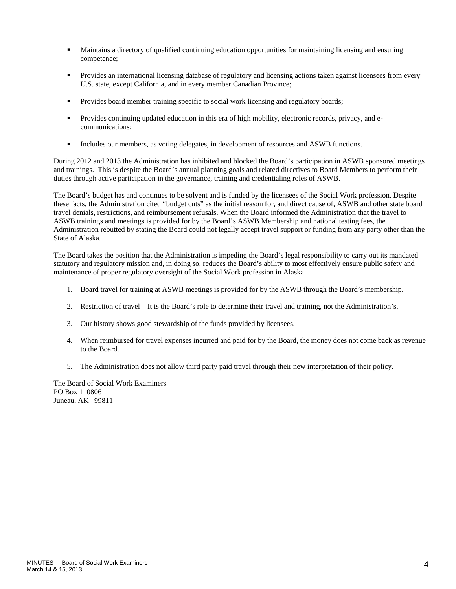- Maintains a directory of qualified continuing education opportunities for maintaining licensing and ensuring competence;
- Provides an international licensing database of regulatory and licensing actions taken against licensees from every U.S. state, except California, and in every member Canadian Province;
- **Provides board member training specific to social work licensing and regulatory boards;**
- Provides continuing updated education in this era of high mobility, electronic records, privacy, and ecommunications;
- Includes our members, as voting delegates, in development of resources and ASWB functions.

During 2012 and 2013 the Administration has inhibited and blocked the Board's participation in ASWB sponsored meetings and trainings. This is despite the Board's annual planning goals and related directives to Board Members to perform their duties through active participation in the governance, training and credentialing roles of ASWB.

The Board's budget has and continues to be solvent and is funded by the licensees of the Social Work profession. Despite these facts, the Administration cited "budget cuts" as the initial reason for, and direct cause of, ASWB and other state board travel denials, restrictions, and reimbursement refusals. When the Board informed the Administration that the travel to ASWB trainings and meetings is provided for by the Board's ASWB Membership and national testing fees, the Administration rebutted by stating the Board could not legally accept travel support or funding from any party other than the State of Alaska.

The Board takes the position that the Administration is impeding the Board's legal responsibility to carry out its mandated statutory and regulatory mission and, in doing so, reduces the Board's ability to most effectively ensure public safety and maintenance of proper regulatory oversight of the Social Work profession in Alaska.

- 1. Board travel for training at ASWB meetings is provided for by the ASWB through the Board's membership.
- 2. Restriction of travel—It is the Board's role to determine their travel and training, not the Administration's.
- 3. Our history shows good stewardship of the funds provided by licensees.
- 4. When reimbursed for travel expenses incurred and paid for by the Board, the money does not come back as revenue to the Board.
- 5. The Administration does not allow third party paid travel through their new interpretation of their policy.

The Board of Social Work Examiners PO Box 110806 Juneau, AK 99811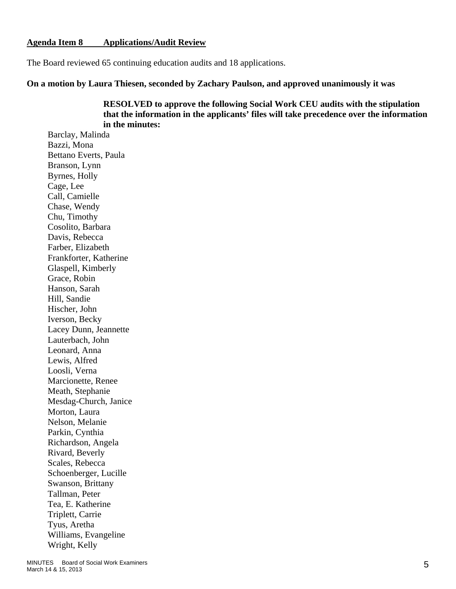#### **Agenda Item 8 Applications/Audit Review**

The Board reviewed 65 continuing education audits and 18 applications.

**On a motion by Laura Thiesen, seconded by Zachary Paulson, and approved unanimously it was** 

 **RESOLVED to approve the following Social Work CEU audits with the stipulation that the information in the applicants' files will take precedence over the information in the minutes:** 

Barclay, Malinda Bazzi, Mona Bettano Everts, Paula Branson, Lynn Byrnes, Holly Cage, Lee Call, Camielle Chase, Wendy Chu, Timothy Cosolito, Barbara Davis, Rebecca Farber, Elizabeth Frankforter, Katherine Glaspell, Kimberly Grace, Robin Hanson, Sarah Hill, Sandie Hischer, John Iverson, Becky Lacey Dunn, Jeannette Lauterbach, John Leonard, Anna Lewis, Alfred Loosli, Verna Marcionette, Renee Meath, Stephanie Mesdag-Church, Janice Morton, Laura Nelson, Melanie Parkin, Cynthia Richardson, Angela Rivard, Beverly Scales, Rebecca Schoenberger, Lucille Swanson, Brittany Tallman, Peter Tea, E. Katherine Triplett, Carrie Tyus, Aretha Williams, Evangeline Wright, Kelly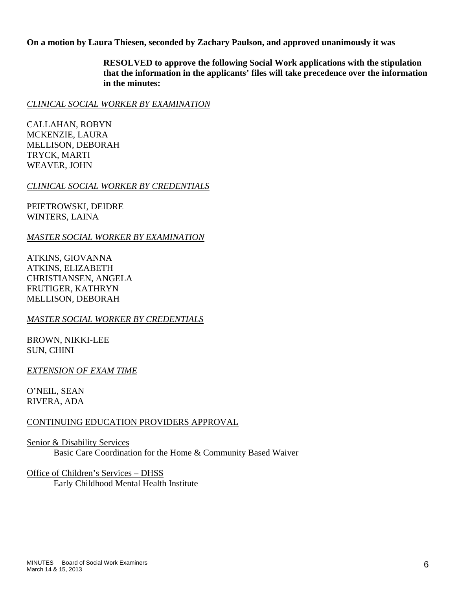**On a motion by Laura Thiesen, seconded by Zachary Paulson, and approved unanimously it was** 

 **RESOLVED to approve the following Social Work applications with the stipulation that the information in the applicants' files will take precedence over the information in the minutes:** 

### *CLINICAL SOCIAL WORKER BY EXAMINATION*

CALLAHAN, ROBYN MCKENZIE, LAURA MELLISON, DEBORAH TRYCK, MARTI WEAVER, JOHN

### *CLINICAL SOCIAL WORKER BY CREDENTIALS*

PEIETROWSKI, DEIDRE WINTERS, LAINA

#### *MASTER SOCIAL WORKER BY EXAMINATION*

ATKINS, GIOVANNA ATKINS, ELIZABETH CHRISTIANSEN, ANGELA FRUTIGER, KATHRYN MELLISON, DEBORAH

### *MASTER SOCIAL WORKER BY CREDENTIALS*

BROWN, NIKKI-LEE SUN, CHINI

### *EXTENSION OF EXAM TIME*

O'NEIL, SEAN RIVERA, ADA

### CONTINUING EDUCATION PROVIDERS APPROVAL

Senior & Disability Services Basic Care Coordination for the Home & Community Based Waiver

Office of Children's Services – DHSS Early Childhood Mental Health Institute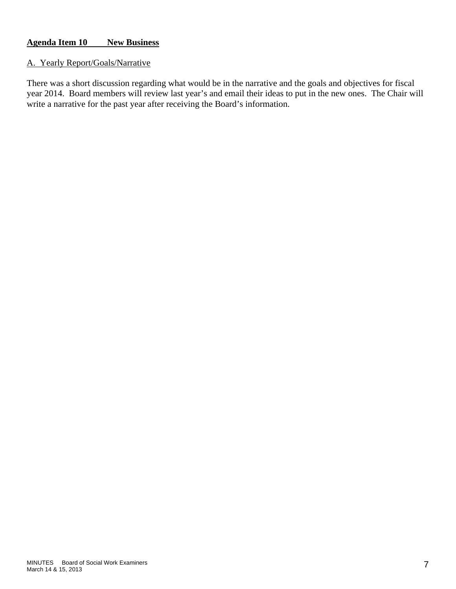# **Agenda Item 10 New Business**

### A. Yearly Report/Goals/Narrative

There was a short discussion regarding what would be in the narrative and the goals and objectives for fiscal year 2014. Board members will review last year's and email their ideas to put in the new ones. The Chair will write a narrative for the past year after receiving the Board's information.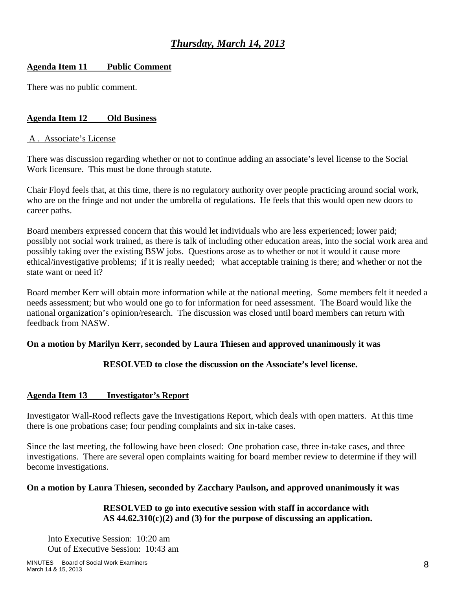# *Thursday, March 14, 2013*

# **Agenda Item 11 Public Comment**

There was no public comment.

# **Agenda Item 12 Old Business**

## A . Associate's License

There was discussion regarding whether or not to continue adding an associate's level license to the Social Work licensure. This must be done through statute.

Chair Floyd feels that, at this time, there is no regulatory authority over people practicing around social work, who are on the fringe and not under the umbrella of regulations. He feels that this would open new doors to career paths.

Board members expressed concern that this would let individuals who are less experienced; lower paid; possibly not social work trained, as there is talk of including other education areas, into the social work area and possibly taking over the existing BSW jobs. Questions arose as to whether or not it would it cause more ethical/investigative problems; if it is really needed; what acceptable training is there; and whether or not the state want or need it?

Board member Kerr will obtain more information while at the national meeting. Some members felt it needed a needs assessment; but who would one go to for information for need assessment. The Board would like the national organization's opinion/research. The discussion was closed until board members can return with feedback from NASW.

# **On a motion by Marilyn Kerr, seconded by Laura Thiesen and approved unanimously it was**

# **RESOLVED to close the discussion on the Associate's level license.**

# **Agenda Item 13 Investigator's Report**

Investigator Wall-Rood reflects gave the Investigations Report, which deals with open matters. At this time there is one probations case; four pending complaints and six in-take cases.

Since the last meeting, the following have been closed: One probation case, three in-take cases, and three investigations. There are several open complaints waiting for board member review to determine if they will become investigations.

# **On a motion by Laura Thiesen, seconded by Zacchary Paulson, and approved unanimously it was**

### **RESOLVED to go into executive session with staff in accordance with AS 44.62.310(c)(2) and (3) for the purpose of discussing an application.**

Into Executive Session: 10:20 am Out of Executive Session: 10:43 am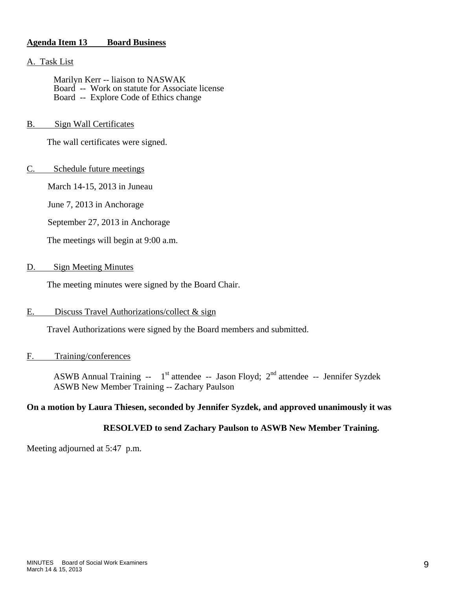#### **Agenda Item 13 Board Business**

#### A. Task List

 Marilyn Kerr -- liaison to NASWAK Board -- Work on statute for Associate license Board -- Explore Code of Ethics change

#### B. Sign Wall Certificates

The wall certificates were signed.

#### C. Schedule future meetings

March 14-15, 2013 in Juneau

June 7, 2013 in Anchorage

September 27, 2013 in Anchorage

The meetings will begin at 9:00 a.m.

#### D. Sign Meeting Minutes

The meeting minutes were signed by the Board Chair.

#### E. Discuss Travel Authorizations/collect & sign

Travel Authorizations were signed by the Board members and submitted.

#### F. Training/conferences

ASWB Annual Training --  $1<sup>st</sup>$  attendee -- Jason Floyd;  $2<sup>nd</sup>$  attendee -- Jennifer Syzdek ASWB New Member Training -- Zachary Paulson

#### **On a motion by Laura Thiesen, seconded by Jennifer Syzdek, and approved unanimously it was**

#### **RESOLVED to send Zachary Paulson to ASWB New Member Training.**

Meeting adjourned at 5:47 p.m.